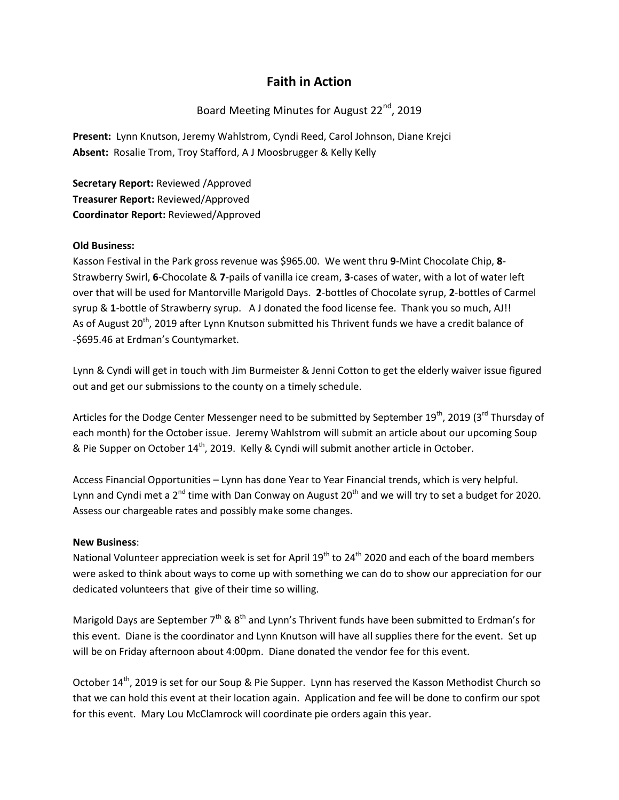## **Faith in Action**

## Board Meeting Minutes for August 22<sup>nd</sup>, 2019

**Present:** Lynn Knutson, Jeremy Wahlstrom, Cyndi Reed, Carol Johnson, Diane Krejci **Absent:** Rosalie Trom, Troy Stafford, A J Moosbrugger & Kelly Kelly

**Secretary Report:** Reviewed /Approved **Treasurer Report:** Reviewed/Approved **Coordinator Report:** Reviewed/Approved

## **Old Business:**

Kasson Festival in the Park gross revenue was \$965.00. We went thru **9**-Mint Chocolate Chip, **8**- Strawberry Swirl, **6**-Chocolate & **7**-pails of vanilla ice cream, **3**-cases of water, with a lot of water left over that will be used for Mantorville Marigold Days. **2**-bottles of Chocolate syrup, **2**-bottles of Carmel syrup & **1**-bottle of Strawberry syrup. A J donated the food license fee. Thank you so much, AJ!! As of August 20<sup>th</sup>, 2019 after Lynn Knutson submitted his Thrivent funds we have a credit balance of -\$695.46 at Erdman's Countymarket.

Lynn & Cyndi will get in touch with Jim Burmeister & Jenni Cotton to get the elderly waiver issue figured out and get our submissions to the county on a timely schedule.

Articles for the Dodge Center Messenger need to be submitted by September 19<sup>th</sup>, 2019 (3<sup>rd</sup> Thursday of each month) for the October issue. Jeremy Wahlstrom will submit an article about our upcoming Soup & Pie Supper on October  $14<sup>th</sup>$ , 2019. Kelly & Cyndi will submit another article in October.

Access Financial Opportunities – Lynn has done Year to Year Financial trends, which is very helpful. Lynn and Cyndi met a  $2^{nd}$  time with Dan Conway on August  $20^{th}$  and we will try to set a budget for 2020. Assess our chargeable rates and possibly make some changes.

## **New Business**:

National Volunteer appreciation week is set for April 19<sup>th</sup> to 24<sup>th</sup> 2020 and each of the board members were asked to think about ways to come up with something we can do to show our appreciation for our dedicated volunteers that give of their time so willing.

Marigold Days are September  $7<sup>th</sup>$  &  $8<sup>th</sup>$  and Lynn's Thrivent funds have been submitted to Erdman's for this event. Diane is the coordinator and Lynn Knutson will have all supplies there for the event. Set up will be on Friday afternoon about 4:00pm. Diane donated the vendor fee for this event.

October 14<sup>th</sup>, 2019 is set for our Soup & Pie Supper. Lynn has reserved the Kasson Methodist Church so that we can hold this event at their location again. Application and fee will be done to confirm our spot for this event. Mary Lou McClamrock will coordinate pie orders again this year.